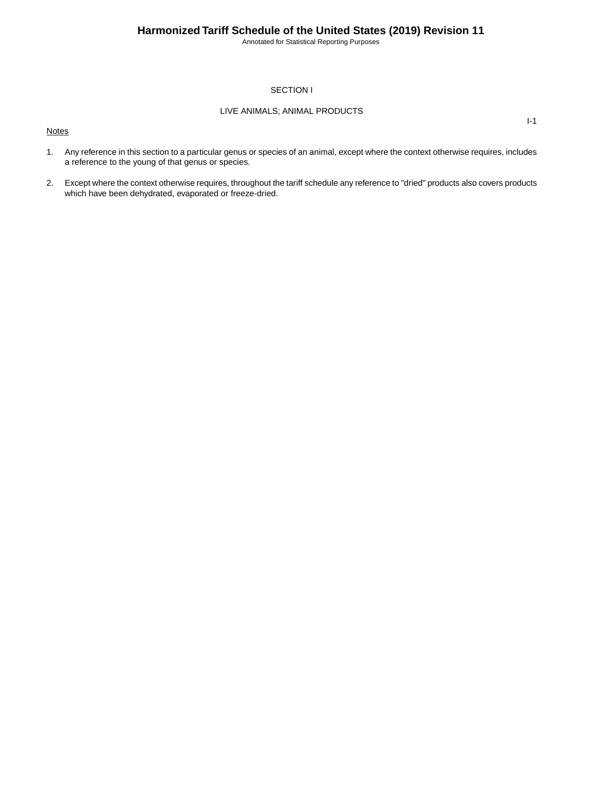Annotated for Statistical Reporting Purposes

I-1

### SECTION I

### LIVE ANIMALS; ANIMAL PRODUCTS

**Notes** 

1. Any reference in this section to a particular genus or species of an animal, except where the context otherwise requires, includes a reference to the young of that genus or species.

2. Except where the context otherwise requires, throughout the tariff schedule any reference to "dried" products also covers products which have been dehydrated, evaporated or freeze-dried.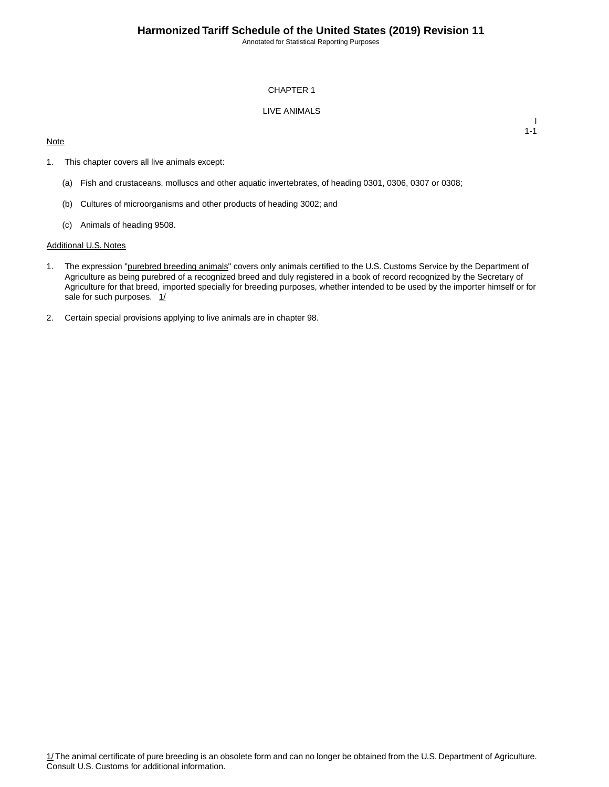Annotated for Statistical Reporting Purposes

#### CHAPTER 1

### LIVE ANIMALS

### **Note**

I 1-1

- 1. This chapter covers all live animals except:
	- (a) Fish and crustaceans, molluscs and other aquatic invertebrates, of heading 0301, 0306, 0307 or 0308;
	- (b) Cultures of microorganisms and other products of heading 3002; and
	- (c) Animals of heading 9508.

#### Additional U.S. Notes

- 1. The expression "purebred breeding animals" covers only animals certified to the U.S. Customs Service by the Department of Agriculture as being purebred of a recognized breed and duly registered in a book of record recognized by the Secretary of Agriculture for that breed, imported specially for breeding purposes, whether intended to be used by the importer himself or for sale for such purposes. 1/
- 2. Certain special provisions applying to live animals are in chapter 98.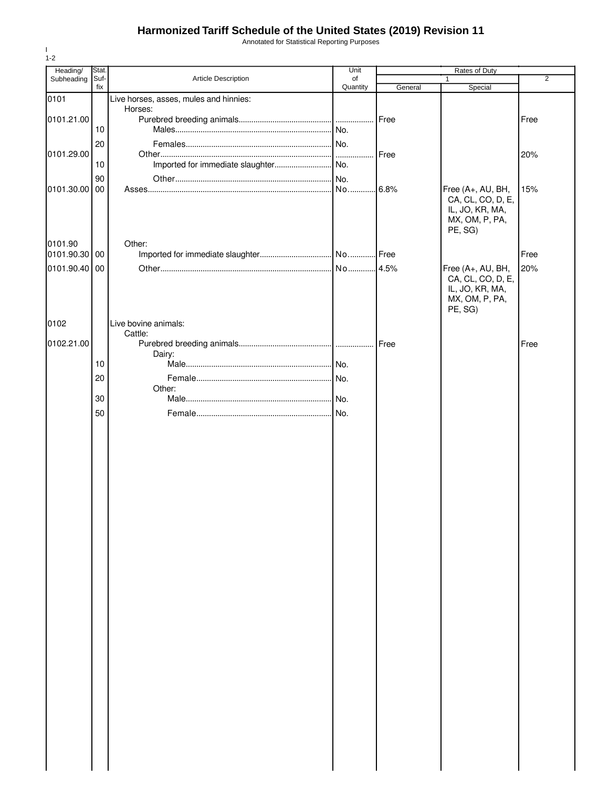Annotated for Statistical Reporting Purposes

| Heading/      | Stat.       |                                        | Unit           |         |                                                                                        |                |
|---------------|-------------|----------------------------------------|----------------|---------|----------------------------------------------------------------------------------------|----------------|
| Subheading    | Suf-<br>fix | Article Description                    | of<br>Quantity | General | Rates of Duty<br>1<br>Special                                                          | $\overline{2}$ |
| 0101          |             | Live horses, asses, mules and hinnies: |                |         |                                                                                        |                |
|               |             | Horses:                                |                |         |                                                                                        |                |
| 0101.21.00    |             |                                        |                | Free    |                                                                                        | Free           |
|               | 10          |                                        |                |         |                                                                                        |                |
| 0101.29.00    | 20          |                                        |                | Free    |                                                                                        | 20%            |
|               | 10          |                                        | .              |         |                                                                                        |                |
|               | 90          |                                        | No.            |         |                                                                                        |                |
| 0101.30.00    | 00          |                                        | No 6.8%        |         | Free (A+, AU, BH,<br>CA, CL, CO, D, E,<br>IL, JO, KR, MA,<br>MX, OM, P, PA,<br>PE, SG) | 15%            |
| 0101.90       |             | Other:                                 |                |         |                                                                                        |                |
| 0101.90.30 00 |             |                                        |                |         |                                                                                        | Free           |
| 0101.90.40 00 |             |                                        | No 4.5%        |         | Free (A+, AU, BH,<br>CA, CL, CO, D, E,<br>IL, JO, KR, MA,<br>MX, OM, P, PA,<br>PE, SG) | 20%            |
| 0102          |             | Live bovine animals:                   |                |         |                                                                                        |                |
| 0102.21.00    |             | Cattle:                                |                |         |                                                                                        | Free           |
|               |             | Dairy:                                 |                |         |                                                                                        |                |
|               | 10          |                                        |                |         |                                                                                        |                |
|               | 20          |                                        |                |         |                                                                                        |                |
|               |             | Other:                                 |                |         |                                                                                        |                |
|               | 30          |                                        |                |         |                                                                                        |                |
|               | 50          |                                        |                |         |                                                                                        |                |
|               |             |                                        |                |         |                                                                                        |                |
|               |             |                                        |                |         |                                                                                        |                |
|               |             |                                        |                |         |                                                                                        |                |
|               |             |                                        |                |         |                                                                                        |                |
|               |             |                                        |                |         |                                                                                        |                |
|               |             |                                        |                |         |                                                                                        |                |
|               |             |                                        |                |         |                                                                                        |                |
|               |             |                                        |                |         |                                                                                        |                |
|               |             |                                        |                |         |                                                                                        |                |
|               |             |                                        |                |         |                                                                                        |                |
|               |             |                                        |                |         |                                                                                        |                |
|               |             |                                        |                |         |                                                                                        |                |
|               |             |                                        |                |         |                                                                                        |                |
|               |             |                                        |                |         |                                                                                        |                |
|               |             |                                        |                |         |                                                                                        |                |
|               |             |                                        |                |         |                                                                                        |                |
|               |             |                                        |                |         |                                                                                        |                |
|               |             |                                        |                |         |                                                                                        |                |
|               |             |                                        |                |         |                                                                                        |                |
|               |             |                                        |                |         |                                                                                        |                |
|               |             |                                        |                |         |                                                                                        |                |
|               |             |                                        |                |         |                                                                                        |                |
|               |             |                                        |                |         |                                                                                        |                |
|               |             |                                        |                |         |                                                                                        |                |
|               |             |                                        |                |         |                                                                                        |                |
|               |             |                                        |                |         |                                                                                        |                |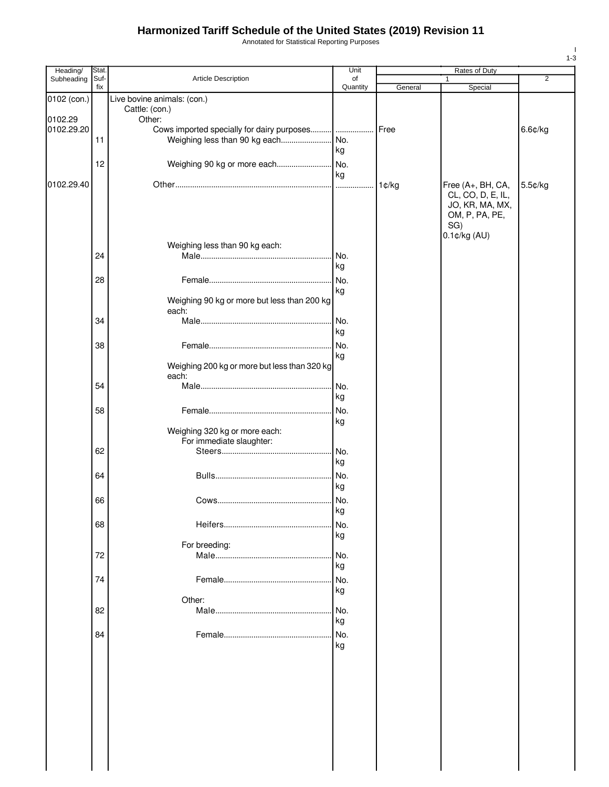Annotated for Statistical Reporting Purposes

| Heading/    | Stat.       |                                              | Unit           |         | Rates of Duty     |                |
|-------------|-------------|----------------------------------------------|----------------|---------|-------------------|----------------|
| Subheading  | Suf-<br>fix | Article Description                          | of<br>Quantity | General | 1<br>Special      | $\overline{2}$ |
| 0102 (con.) |             | Live bovine animals: (con.)                  |                |         |                   |                |
|             |             | Cattle: (con.)                               |                |         |                   |                |
| 0102.29     |             | Other:                                       |                |         |                   |                |
| 0102.29.20  |             | Cows imported specially for dairy purposes   |                | Free    |                   | 6.6¢/kg        |
|             | 11          |                                              |                |         |                   |                |
|             |             |                                              | kg             |         |                   |                |
|             | 12          | Weighing 90 kg or more each                  | .No.           |         |                   |                |
|             |             |                                              | kg             |         |                   |                |
| 0102.29.40  |             |                                              |                | 1¢/kg   | Free (A+, BH, CA, | 5.5¢/kg        |
|             |             |                                              |                |         | CL, CO, D, E, IL, |                |
|             |             |                                              |                |         | JO, KR, MA, MX,   |                |
|             |             |                                              |                |         | OM, P, PA, PE,    |                |
|             |             |                                              |                |         | SG)               |                |
|             |             | Weighing less than 90 kg each:               |                |         | $0.1$ ¢/kg $(AU)$ |                |
|             | 24          |                                              | No.            |         |                   |                |
|             |             |                                              | kg             |         |                   |                |
|             |             |                                              |                |         |                   |                |
|             | 28          |                                              |                |         |                   |                |
|             |             | Weighing 90 kg or more but less than 200 kg  | kg             |         |                   |                |
|             |             | each:                                        |                |         |                   |                |
|             | 34          |                                              | No.            |         |                   |                |
|             |             |                                              | kg             |         |                   |                |
|             | 38          |                                              | No.            |         |                   |                |
|             |             |                                              | kg             |         |                   |                |
|             |             | Weighing 200 kg or more but less than 320 kg |                |         |                   |                |
|             |             | each:                                        |                |         |                   |                |
|             | 54          |                                              | No.            |         |                   |                |
|             |             |                                              | kg             |         |                   |                |
|             | 58          |                                              | No.            |         |                   |                |
|             |             |                                              | kg             |         |                   |                |
|             |             | Weighing 320 kg or more each:                |                |         |                   |                |
|             |             | For immediate slaughter:                     |                |         |                   |                |
|             | 62          |                                              | No.            |         |                   |                |
|             |             |                                              | kg             |         |                   |                |
|             | 64          |                                              | No.            |         |                   |                |
|             |             |                                              | kg             |         |                   |                |
|             | 66          |                                              | No.            |         |                   |                |
|             |             |                                              | кg             |         |                   |                |
|             | 68          |                                              | No.            |         |                   |                |
|             |             |                                              | kg             |         |                   |                |
|             |             | For breeding:                                |                |         |                   |                |
|             | 72          |                                              | No.            |         |                   |                |
|             |             |                                              | kg             |         |                   |                |
|             | 74          |                                              | No.            |         |                   |                |
|             |             |                                              | kg             |         |                   |                |
|             |             | Other:                                       |                |         |                   |                |
|             | 82          |                                              | No.            |         |                   |                |
|             |             |                                              | kg             |         |                   |                |
|             | 84          |                                              | No.            |         |                   |                |
|             |             |                                              | kg             |         |                   |                |
|             |             |                                              |                |         |                   |                |
|             |             |                                              |                |         |                   |                |
|             |             |                                              |                |         |                   |                |
|             |             |                                              |                |         |                   |                |
|             |             |                                              |                |         |                   |                |
|             |             |                                              |                |         |                   |                |
|             |             |                                              |                |         |                   |                |
|             |             |                                              |                |         |                   |                |
|             |             |                                              |                |         |                   |                |
|             |             |                                              |                |         |                   |                |
|             |             |                                              |                |         |                   |                |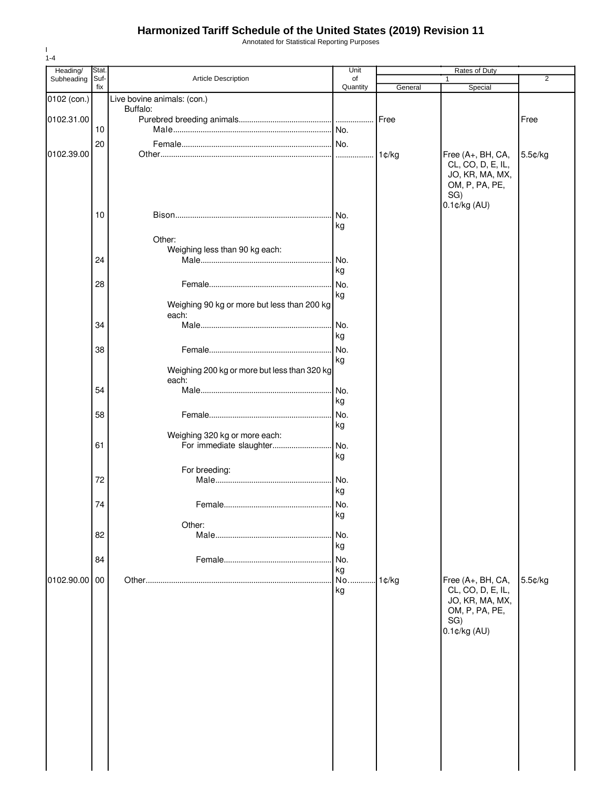Annotated for Statistical Reporting Purposes

| Heading/    | Stat.       |                                                       | Unit           |         | Rates of Duty                                          |                |
|-------------|-------------|-------------------------------------------------------|----------------|---------|--------------------------------------------------------|----------------|
| Subheading  | Suf-<br>fix | Article Description                                   | of<br>Quantity | General | 1<br>Special                                           | $\overline{2}$ |
| 0102 (con.) |             | Live bovine animals: (con.)                           |                |         |                                                        |                |
|             |             | Buffalo:                                              |                |         |                                                        |                |
| 0102.31.00  |             |                                                       |                |         |                                                        | Free           |
|             | 10          |                                                       |                |         |                                                        |                |
|             | 20          |                                                       |                |         |                                                        |                |
| 0102.39.00  |             |                                                       |                | 1¢/kg   | Free (A+, BH, CA,                                      | 5.5¢/kg        |
|             |             |                                                       |                |         | CL, CO, D, E, IL,<br>JO, KR, MA, MX,<br>OM, P, PA, PE, |                |
|             |             |                                                       |                |         | SG)<br>0.1¢/kg (AU)                                    |                |
|             | 10          |                                                       | INo.           |         |                                                        |                |
|             |             |                                                       | kg             |         |                                                        |                |
|             |             | Other:                                                |                |         |                                                        |                |
|             |             | Weighing less than 90 kg each:                        |                |         |                                                        |                |
|             | 24          |                                                       | No.            |         |                                                        |                |
|             |             |                                                       | kg             |         |                                                        |                |
|             | 28          |                                                       | No.            |         |                                                        |                |
|             |             |                                                       | kg             |         |                                                        |                |
|             |             | Weighing 90 kg or more but less than 200 kg<br>each:  |                |         |                                                        |                |
|             | 34          |                                                       | No.            |         |                                                        |                |
|             |             |                                                       | kg             |         |                                                        |                |
|             | 38          |                                                       | No.            |         |                                                        |                |
|             |             |                                                       | kg             |         |                                                        |                |
|             |             | Weighing 200 kg or more but less than 320 kg<br>each: |                |         |                                                        |                |
|             | 54          |                                                       | No.            |         |                                                        |                |
|             |             |                                                       | kg             |         |                                                        |                |
|             | 58          |                                                       | No.            |         |                                                        |                |
|             |             |                                                       | kg             |         |                                                        |                |
|             |             | Weighing 320 kg or more each:                         |                |         |                                                        |                |
|             | 61          | For immediate slaughter                               | No.            |         |                                                        |                |
|             |             |                                                       | kg             |         |                                                        |                |
|             |             | For breeding:                                         |                |         |                                                        |                |
|             | 72          |                                                       | No.            |         |                                                        |                |
|             |             |                                                       | kg             |         |                                                        |                |
|             | 74          |                                                       |                |         |                                                        |                |
|             |             |                                                       | kg             |         |                                                        |                |
|             |             | Other:                                                |                |         |                                                        |                |
|             | 82          |                                                       | No.            |         |                                                        |                |
|             |             |                                                       | kg             |         |                                                        |                |
|             | 84          |                                                       | No.            |         |                                                        |                |
|             |             |                                                       | kg             |         |                                                        |                |
| 0102.90.00  | $00\,$      |                                                       | No             | 1¢/kg   | Free (A+, BH, CA,                                      | 5.5¢/kg        |
|             |             |                                                       | kg             |         | CL, CO, D, E, IL,                                      |                |
|             |             |                                                       |                |         | JO, KR, MA, MX,                                        |                |
|             |             |                                                       |                |         | OM, P, PA, PE,                                         |                |
|             |             |                                                       |                |         | SG)                                                    |                |
|             |             |                                                       |                |         | $0.1$ ¢/kg $(AU)$                                      |                |
|             |             |                                                       |                |         |                                                        |                |
|             |             |                                                       |                |         |                                                        |                |
|             |             |                                                       |                |         |                                                        |                |
|             |             |                                                       |                |         |                                                        |                |
|             |             |                                                       |                |         |                                                        |                |
|             |             |                                                       |                |         |                                                        |                |
|             |             |                                                       |                |         |                                                        |                |
|             |             |                                                       |                |         |                                                        |                |
|             |             |                                                       |                |         |                                                        |                |
|             |             |                                                       |                |         |                                                        |                |
|             |             |                                                       |                |         |                                                        |                |
|             |             |                                                       |                |         |                                                        |                |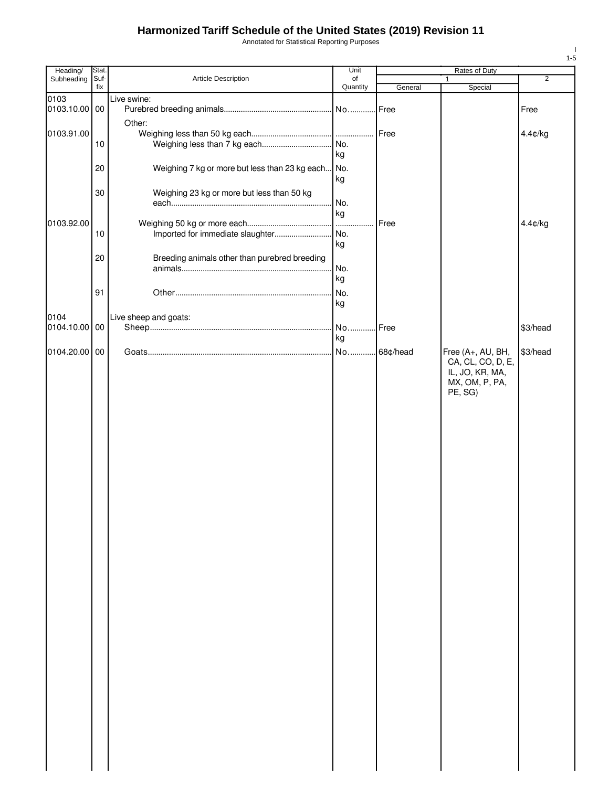Annotated for Statistical Reporting Purposes

| Heading/              | Stat.       |                                                | Unit           |          | Rates of Duty                          |                |
|-----------------------|-------------|------------------------------------------------|----------------|----------|----------------------------------------|----------------|
| Subheading            | Suf-<br>fix | Article Description                            | of<br>Quantity | General  | 1<br>Special                           | $\overline{2}$ |
| 0103                  |             | Live swine:                                    |                |          |                                        |                |
| 0103.10.00 00         |             |                                                |                |          |                                        | Free           |
|                       |             | Other:                                         |                |          |                                        |                |
| 0103.91.00            |             |                                                |                | Free     |                                        | 4.4¢/kg        |
|                       | 10          |                                                | . No.          |          |                                        |                |
|                       |             |                                                | kg             |          |                                        |                |
|                       | 20          | Weighing 7 kg or more but less than 23 kg each | No.            |          |                                        |                |
|                       |             |                                                | kg             |          |                                        |                |
|                       | 30          | Weighing 23 kg or more but less than 50 kg     |                |          |                                        |                |
|                       |             |                                                | No.            |          |                                        |                |
|                       |             |                                                | kg             |          |                                        |                |
| 0103.92.00            |             |                                                |                | Free     |                                        | 4.4¢/kg        |
|                       | 10          | Imported for immediate slaughter               | No.<br>kg      |          |                                        |                |
|                       |             |                                                |                |          |                                        |                |
|                       | 20          | Breeding animals other than purebred breeding  |                |          |                                        |                |
|                       |             |                                                | No.<br>kg      |          |                                        |                |
|                       |             |                                                |                |          |                                        |                |
|                       | 91          |                                                | No.<br>kg      |          |                                        |                |
|                       |             |                                                |                |          |                                        |                |
| 0104<br>0104.10.00 00 |             | Live sheep and goats:                          | No.            | Free     |                                        | \$3/head       |
|                       |             |                                                | kg             |          |                                        |                |
|                       |             |                                                |                |          |                                        |                |
| 0104.20.00 00         |             |                                                | No             | 68¢/head | Free (A+, AU, BH,<br>CA, CL, CO, D, E, | \$3/head       |
|                       |             |                                                |                |          | IL, JO, KR, MA,                        |                |
|                       |             |                                                |                |          | MX, OM, P, PA,                         |                |
|                       |             |                                                |                |          | PE, SG)                                |                |
|                       |             |                                                |                |          |                                        |                |
|                       |             |                                                |                |          |                                        |                |
|                       |             |                                                |                |          |                                        |                |
|                       |             |                                                |                |          |                                        |                |
|                       |             |                                                |                |          |                                        |                |
|                       |             |                                                |                |          |                                        |                |
|                       |             |                                                |                |          |                                        |                |
|                       |             |                                                |                |          |                                        |                |
|                       |             |                                                |                |          |                                        |                |
|                       |             |                                                |                |          |                                        |                |
|                       |             |                                                |                |          |                                        |                |
|                       |             |                                                |                |          |                                        |                |
|                       |             |                                                |                |          |                                        |                |
|                       |             |                                                |                |          |                                        |                |
|                       |             |                                                |                |          |                                        |                |
|                       |             |                                                |                |          |                                        |                |
|                       |             |                                                |                |          |                                        |                |
|                       |             |                                                |                |          |                                        |                |
|                       |             |                                                |                |          |                                        |                |
|                       |             |                                                |                |          |                                        |                |
|                       |             |                                                |                |          |                                        |                |
|                       |             |                                                |                |          |                                        |                |
|                       |             |                                                |                |          |                                        |                |
|                       |             |                                                |                |          |                                        |                |
|                       |             |                                                |                |          |                                        |                |
|                       |             |                                                |                |          |                                        |                |
|                       |             |                                                |                |          |                                        |                |
|                       |             |                                                |                |          |                                        |                |
|                       |             |                                                |                |          |                                        |                |
|                       |             |                                                |                |          |                                        |                |
|                       |             |                                                |                |          |                                        |                |
|                       |             |                                                |                |          |                                        |                |
|                       |             |                                                |                |          |                                        |                |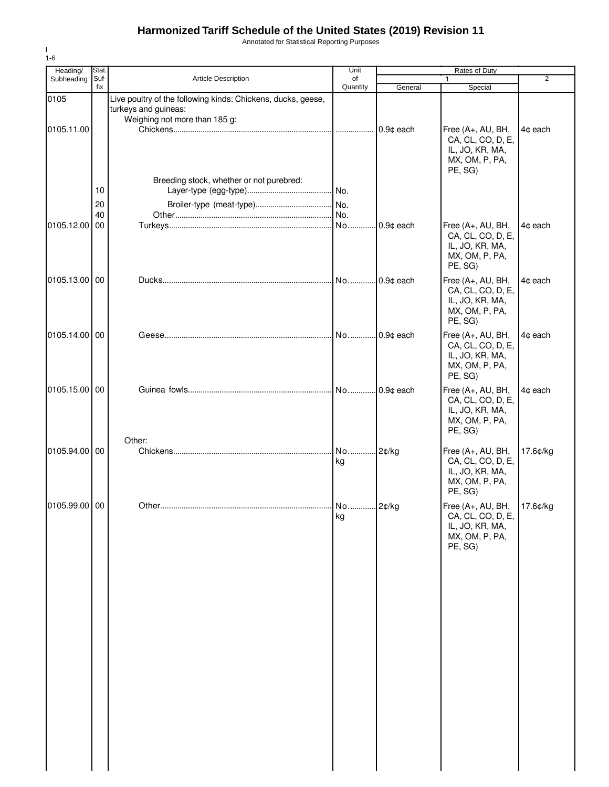Annotated for Statistical Reporting Purposes

| Heading/      | Stat.       |                                                                                                                       | Unit           |              | Rates of Duty                                                                          |                |
|---------------|-------------|-----------------------------------------------------------------------------------------------------------------------|----------------|--------------|----------------------------------------------------------------------------------------|----------------|
| Subheading    | Suf-<br>fix | <b>Article Description</b>                                                                                            | of<br>Quantity | General      | Special                                                                                | $\overline{2}$ |
| 0105          |             | Live poultry of the following kinds: Chickens, ducks, geese,<br>turkeys and guineas:<br>Weighing not more than 185 g: |                |              |                                                                                        |                |
| 0105.11.00    |             |                                                                                                                       |                | 0.9¢ each    | Free (A+, AU, BH,<br>CA, CL, CO, D, E,<br>IL, JO, KR, MA,<br>MX, OM, P, PA,<br>PE, SG) | 4¢ each        |
|               | 10          | Breeding stock, whether or not purebred:                                                                              |                |              |                                                                                        |                |
|               | 20<br>40    |                                                                                                                       |                |              |                                                                                        |                |
| 0105.12.00    | 00          |                                                                                                                       |                | . 0.9¢ each  | Free (A+, AU, BH,<br>CA, CL, CO, D, E,<br>IL, JO, KR, MA,<br>MX, OM, P, PA,<br>PE, SG) | 4¢ each        |
| 0105.13.00    | 00          |                                                                                                                       |                | $.0.9¢$ each | Free (A+, AU, BH,<br>CA, CL, CO, D, E,<br>IL, JO, KR, MA,<br>MX, OM, P, PA,<br>PE, SG) | 4¢ each        |
| 0105.14.00    | 00          |                                                                                                                       |                |              | Free (A+, AU, BH,<br>CA, CL, CO, D, E,<br>IL, JO, KR, MA,<br>MX, OM, P, PA,<br>PE, SG) | 4¢ each        |
| 0105.15.00    | 00          |                                                                                                                       |                |              | Free (A+, AU, BH,<br>CA, CL, CO, D, E,<br>IL, JO, KR, MA,<br>MX, OM, P, PA,<br>PE, SG) | 4¢ each        |
| 0105.94.00    | 00          | Other:                                                                                                                | No<br>kg       | 2¢/kg        | Free (A+, AU, BH,<br>CA, CL, CO, D, E,<br>IL, JO, KR, MA,<br>MX, OM, P, PA,<br>PE, SG) | 17.6¢/kg       |
| 0105.99.00 00 |             |                                                                                                                       | No 2¢/kg<br>kg |              | Free (A+, AU, BH,<br>CA, CL, CO, D, E,<br>IL, JO, KR, MA,<br>MX, OM, P, PA,<br>PE, SG) | 17.6¢/kg       |
|               |             |                                                                                                                       |                |              |                                                                                        |                |
|               |             |                                                                                                                       |                |              |                                                                                        |                |
|               |             |                                                                                                                       |                |              |                                                                                        |                |
|               |             |                                                                                                                       |                |              |                                                                                        |                |

I